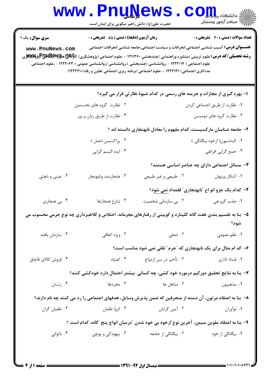| <b>WWW</b>                                                                                                           | <b>FIIQTAGMP</b><br>حضرت علی(ع): دانش راهبر نیکویی برای ایمان است |                                                                                                                                                                                                                                                                                                                                                                                                                                                                         | د دانشگاه پی <mark>ا ب</mark> ا<br>رِ آھرڪز آزمون وسنڊش |  |  |
|----------------------------------------------------------------------------------------------------------------------|-------------------------------------------------------------------|-------------------------------------------------------------------------------------------------------------------------------------------------------------------------------------------------------------------------------------------------------------------------------------------------------------------------------------------------------------------------------------------------------------------------------------------------------------------------|---------------------------------------------------------|--|--|
| <b>سری سوال :</b> یک ۱<br>www.PnuNews.com                                                                            | <b>زمان آزمون (دقیقه) : تستی : 55 تشریحی : 0</b>                  | <b>عنـــوان درس:</b> آسیب شناسی اجتماعی،انحرافات و سیاست اجتماعی،جامعه شناسی انحرافات اجتماعی<br><b>رشته تحصیلی/کد درس:</b> علوم تربیتی (مشاوره وراهنمایی )چندبخشی ۱۲۱۱۳۶۰ - ،علوم اجتماعی (پژوهشگری) کاک <sup>ه</sup> ای پوپایا پوپایا پوپایا پوپایا پوپایا پوپایا پوپا<br>علوم اجتماعی ) ۱۲۲۲۰۱۴ - ،روانشناسی (چندبخشی )،روانشناسی (روانشناسی عمومی ) ۱۲۲۲۰۶۳ - ،علوم اجتماعی<br>مددکاری اجتماعی) ۱۲۲۲۱۴۱ - ،علوم اجتماعی (برنامه ریزی اجتماعی تعاون و رفاه)۱۲۲۲۱۰(۱) | <b>تعداد سوالات : تستی : 30 ٪ تشریحی : 0</b>            |  |  |
|                                                                                                                      |                                                                   | ۱- بهره گیری از مجازات و جریمه های رسمی در کدام شیوهٔ نظارتی قرار می گیرد؟                                                                                                                                                                                                                                                                                                                                                                                              |                                                         |  |  |
| ۲. نظارت گروه های نخسـتین                                                                                            |                                                                   | ٠١ نظارت از طريق اجتماعي كردن                                                                                                                                                                                                                                                                                                                                                                                                                                           |                                                         |  |  |
|                                                                                                                      | ۰۴ نظارت از طریق زبان و زور                                       | ۰۳ نظارت گروه های دومیـــن                                                                                                                                                                                                                                                                                                                                                                                                                                              |                                                         |  |  |
| ۲– جامعه شناسان مارکسیست، کدام مفهوم را معادل نابهنجاری دانسته اند ؟                                                 |                                                                   |                                                                                                                                                                                                                                                                                                                                                                                                                                                                         |                                                         |  |  |
|                                                                                                                      | ۰۲ پراکسیس (عمل )                                                 |                                                                                                                                                                                                                                                                                                                                                                                                                                                                         | ۰۱ الیناسیون(ازخود بیگانگی)                             |  |  |
|                                                                                                                      | ۰۴ ایده الیسم گرایی                                               | ۰۳ جمع گرايي افراطي                                                                                                                                                                                                                                                                                                                                                                                                                                                     |                                                         |  |  |
|                                                                                                                      |                                                                   |                                                                                                                                                                                                                                                                                                                                                                                                                                                                         | ۳- مسائل اجتماعی دارای چه عناصر اساسی هستند؟            |  |  |
| ۰۴ عینی و ذهتی                                                                                                       | ۰۳ هنجارمند ونابهنجار                                             | ۰۲ طبیعی و غیر طبیعی                                                                                                                                                                                                                                                                                                                                                                                                                                                    | ٠١. آشكار وپنهان                                        |  |  |
|                                                                                                                      |                                                                   |                                                                                                                                                                                                                                                                                                                                                                                                                                                                         | ۴- کدام یک جزو انو اع "نابهنجاری" قلمداد نمی شود؟       |  |  |
| ۰۴ بی هنجاری                                                                                                         | ۰۳ تنازع هنجارها                                                  | ۰۲ بی سازمانی شخصیت                                                                                                                                                                                                                                                                                                                                                                                                                                                     | ۱. جذب گرو هي                                           |  |  |
| ۵– بنا به تقسیم بندی هفت گانه کلینارد و کویینی از رفتارهای مجرمانه، اختلاس و کلاهبرداری چه نوع جرمی محسوب می<br>شود؟ |                                                                   |                                                                                                                                                                                                                                                                                                                                                                                                                                                                         |                                                         |  |  |
| ۰۴ سازمان يافته                                                                                                      | ۰۳ ویژه اتفاقی                                                    | ۰۲ شغلی                                                                                                                                                                                                                                                                                                                                                                                                                                                                 | ۰۱ نظم عمومی                                            |  |  |
|                                                                                                                      | ۶- کد ام مثال برای یک نابهنجاری که "جرم" تلقی نمی شود مناسب است؟  |                                                                                                                                                                                                                                                                                                                                                                                                                                                                         |                                                         |  |  |
| ۰۴ فروش کالای قاچاق                                                                                                  | ۰۳ اعتیاد                                                         | ۰۲ تأخیر در سن ازدواج                                                                                                                                                                                                                                                                                                                                                                                                                                                   | ۰۱ فساد اداری                                           |  |  |
| ۷– بنا به نتایج تحقیق دورکیم درمورد خود کشی، چه کسانی بیشتر احتمال دارد خودکشی کنند؟                                 |                                                                   |                                                                                                                                                                                                                                                                                                                                                                                                                                                                         |                                                         |  |  |
| ۰۴ زنــان                                                                                                            | ۰۳ مجردها                                                         | ۰۲ متاهل ها                                                                                                                                                                                                                                                                                                                                                                                                                                                             | ٠١ مذهبيون                                              |  |  |
| ۸–  بنا به اعتقاد مرتون، آن دسته از منحرفین که ضمن پذیرش وسایل، هدفهای اجتماعی را رد می کنند چه نام دارند؟           |                                                                   |                                                                                                                                                                                                                                                                                                                                                                                                                                                                         |                                                         |  |  |
| ۰۴ طغیان گران                                                                                                        | ۰۳ انزوا طلبان                                                    | ۰۲ آیین گرایان                                                                                                                                                                                                                                                                                                                                                                                                                                                          | ۰۱ نوآوران                                              |  |  |
| ۹– بنا به اعتقاد ملوین سیمن، آخرین نوع ّازخود بی خود شدن  ّدرمیان انواع پنج گانه، کدام است ؟                         |                                                                   |                                                                                                                                                                                                                                                                                                                                                                                                                                                                         |                                                         |  |  |
| ۰۴ ناتوانی                                                                                                           | ۰۳ بیهودگی و پوچی                                                 | ۰۲ بیگانگی از جامعه                                                                                                                                                                                                                                                                                                                                                                                                                                                     | ۰۱ بیگانگی از خود                                       |  |  |
|                                                                                                                      |                                                                   |                                                                                                                                                                                                                                                                                                                                                                                                                                                                         |                                                         |  |  |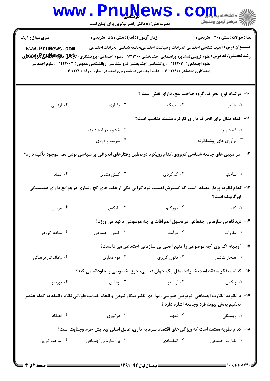|                                                                                                                                                                                                                                                                                                                                                                                                                                       | <b>www.PnuNews</b><br>حضرت علی(ع): دانش راهبر نیکویی برای ایمان است                                           |                                                                            | أأآت مركز آزمون وسنجش                   |  |  |
|---------------------------------------------------------------------------------------------------------------------------------------------------------------------------------------------------------------------------------------------------------------------------------------------------------------------------------------------------------------------------------------------------------------------------------------|---------------------------------------------------------------------------------------------------------------|----------------------------------------------------------------------------|-----------------------------------------|--|--|
| <b>تعداد سوالات : تستی : 30 ٪ تشریحی : 0</b><br>زمان آزمون (دقیقه) : تستی : 55 آتشریحی : 0<br><b>سری سوال : ۱ یک</b><br><b>عنـــوان درس:</b> آسیب شناسی اجتماعی،انحرافات و سیاست اجتماعی،جامعه شناسی انحرافات اجتماعی<br>www.PnuNews.com<br>علوم اجتماعی ) ۱۲۲۲۰۱۴ - ،روانشناسی (چندبخشی )،روانشناسی (روانشناسی عمومی ) ۱۲۲۲۰۶۳ - ،علوم اجتماعی<br>(مددکاری اجتماعی) ۱۲۲۲۱۴۱ - ،علوم اجتماعی (برنامه ریزی اجتماعی تعاون و رفاه)۱۲۲۲۱۰ |                                                                                                               |                                                                            |                                         |  |  |
|                                                                                                                                                                                                                                                                                                                                                                                                                                       |                                                                                                               | ۱۰– درکدام نوع انحراف، گروه صاحب نفع، دارای نقش است ؟                      |                                         |  |  |
| ۰۴ ارزشی                                                                                                                                                                                                                                                                                                                                                                                                                              | ۰۳ رفتاري                                                                                                     | ۰۲ تیپیک                                                                   | ۰۱ خاص                                  |  |  |
|                                                                                                                                                                                                                                                                                                                                                                                                                                       |                                                                                                               | 11- کدام مثال برای انحراف دارای کارکرد مثبت، مناسب است؟                    |                                         |  |  |
|                                                                                                                                                                                                                                                                                                                                                                                                                                       | ۰۲ خشونت و ایجاد رعب                                                                                          |                                                                            | ۰۱ فساد و رشــوه                        |  |  |
|                                                                                                                                                                                                                                                                                                                                                                                                                                       | ۰۴ سرقت و دزدی                                                                                                |                                                                            | ۰۳ نوآوری های روشنفکرانه                |  |  |
|                                                                                                                                                                                                                                                                                                                                                                                                                                       | ۱۲– در تبیین های جامعه شناسی کجروی،کدام رویکرد در تحلیل رفتارهای انحرافی بر سیاسی بودن نظم موجود تأکید دارد؟  |                                                                            |                                         |  |  |
| ۰۴ تضاد                                                                                                                                                                                                                                                                                                                                                                                                                               | ۰۳ کنش متقابل                                                                                                 | ۰۲ کارکردی                                                                 | ۰۱ ساختی                                |  |  |
| ۱۳– کدام نظریه پرداز معتقد است که گسترش اهمیت فرد گرایی یکی از علت های کج رفتاری درجوامع دارای همبستگی<br>اورگانیک است؟                                                                                                                                                                                                                                                                                                               |                                                                                                               |                                                                            |                                         |  |  |
| ۰۴ مرتون                                                                                                                                                                                                                                                                                                                                                                                                                              | ۰۳ مارکس                                                                                                      | ۰۲ دورکیم                                                                  | ۰۱ کنت                                  |  |  |
|                                                                                                                                                                                                                                                                                                                                                                                                                                       |                                                                                                               | ۱۴- دیدگاه بی سازمانی اجتماعی درتحلیل انحرافات بر چه موضوعی تأکید می ورزد؟ |                                         |  |  |
| ۰۴ منافع گروهی                                                                                                                                                                                                                                                                                                                                                                                                                        | ۰۳ کنترل اجتماعی                                                                                              | ۰۲ درآمد                                                                   | ۰۱ مقررات                               |  |  |
|                                                                                                                                                                                                                                                                                                                                                                                                                                       |                                                                                                               | 15- "ویلیام اگ برن "چه موضوعی را منبع اصلی بی سازمانی اجتماعی می دانست؟    |                                         |  |  |
| ۰۴ واماندگی فرهنگی                                                                                                                                                                                                                                                                                                                                                                                                                    | ۰۳ قوم مداری                                                                                                  |                                                                            |                                         |  |  |
|                                                                                                                                                                                                                                                                                                                                                                                                                                       | ۱۶– کدام متفکر معتقد است خانواده، مثل یک جهان قدسی، حوزه خصوصی را جاودانه می کند؟                             |                                                                            |                                         |  |  |
| ۰۴ بورديو                                                                                                                                                                                                                                                                                                                                                                                                                             | ۰۳ اوهلین                                                                                                     | ۰۲ ارسطو                                                                   | ١. ويكمن                                |  |  |
|                                                                                                                                                                                                                                                                                                                                                                                                                                       | ۱۷– درنظریه "نظارت اجتماعی" تریویس هیرشی، مواردی نظیر بیکار نبودن و انجام خدمت طولانی نظام وظیفه به کدام عنصر |                                                                            | تحکیم بخش پیوند فرد وجامعه اشاره دارد ؟ |  |  |
| ۰۴ اعتقاد                                                                                                                                                                                                                                                                                                                                                                                                                             | ۰۳ درگیری                                                                                                     | ۰۱ وابستگی مسلمان است.<br>او ایستگی                                        |                                         |  |  |
| ۱۸– کدام نظریه معتقد است که ویژگی های اقتصاد سرمایه داری، عامل اصلی پیدایش جرم وجنایت است؟                                                                                                                                                                                                                                                                                                                                            |                                                                                                               |                                                                            |                                         |  |  |
| ۰۴ ساخت گرايي                                                                                                                                                                                                                                                                                                                                                                                                                         | ۰۳ بی سازمانی اجتماعی                                                                                         | ۰۲ انتقــادی                                                               | ۰۱ نظارت اجتماعی                        |  |  |
|                                                                                                                                                                                                                                                                                                                                                                                                                                       |                                                                                                               |                                                                            |                                         |  |  |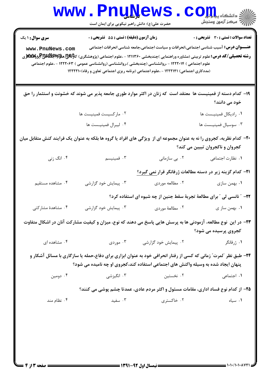| <b>WWW</b>                                                                                                                                                | <b>Funisems</b><br>حضرت علی(ع): دانش راهبر نیکویی برای ایمان است |                                                                                                                                                                                           | ک دانشکا ه پ <b>یا با وار</b> ∕<br>أأأأ " مرکز آزمون وسنجش                                                                                                                                                                                            |  |
|-----------------------------------------------------------------------------------------------------------------------------------------------------------|------------------------------------------------------------------|-------------------------------------------------------------------------------------------------------------------------------------------------------------------------------------------|-------------------------------------------------------------------------------------------------------------------------------------------------------------------------------------------------------------------------------------------------------|--|
| سری سوال: ۱ یک                                                                                                                                            | زمان آزمون (دقیقه) : تستی : 55 آتشریحی : 0                       |                                                                                                                                                                                           | تعداد سوالات : تستي : 30 - تشريحي : 0                                                                                                                                                                                                                 |  |
| www.PnuNews.com                                                                                                                                           |                                                                  | علوم اجتماعی ) ۱۲۲۲۰۱۴ - ،روانشناسی (چندبخشی )،روانشناسی (روانشناسی عمومی ) ۱۲۲۲۰۶۳ - ،علوم اجتماعی<br>(مددکاری اجتماعی) ۱۲۲۲۱۴۱ - ،علوم اجتماعی (برنامه ریزی اجتماعی تعاون و رفاه)۱۲۲۲۱۰ | <b>عنـــوان درس:</b> آسیب شناسی اجتماعی،انحرافات و سیاست اجتماعی،جامعه شناسی انحرافات اجتماعی<br><b>رشته تحصیلی/کد درس:</b> علوم تربیتی (مشاوره وراهنمایی )چندبخشی ۱۲۱۱۳۶۰ - ،علوم اجتماعی (پژوهشگری) کاک <sup>ه</sup> ای پوچاپایاللهلیجای پوپایاللهل |  |
|                                                                                                                                                           |                                                                  |                                                                                                                                                                                           | ۱۹– کدام دسته از فمینیست ها ًمعتقد است که زنان در اکثر موارد طوری جامعه پذیر می شوند که خشونت و استثمار را حق<br>خود می دانند؟                                                                                                                        |  |
|                                                                                                                                                           | ۰۲ مارکسیست فمینیست ها                                           |                                                                                                                                                                                           | ۰۱ رادیکال فمینیست ها                                                                                                                                                                                                                                 |  |
|                                                                                                                                                           | ۰۴ ليبرال فمينيـست ها                                            |                                                                                                                                                                                           | ۰۳ سوسیال فمینیست ها                                                                                                                                                                                                                                  |  |
| ۲۰− کدام نظریه، کجروی را نه به عنوان مجموعه ای از ۖ ویژگی های افراد یا گروه ها بلکه به عنوان یک فرایند کنش متقابل میان<br>کجروان و ناکجروان تبیین می کند؟ |                                                                  |                                                                                                                                                                                           |                                                                                                                                                                                                                                                       |  |
| ۰۴ انگ زنی                                                                                                                                                | ۰۳ فمینیسم                                                       | ۰۲ بی سازمانی                                                                                                                                                                             | ٠١. نظارت اجتماعي                                                                                                                                                                                                                                     |  |
|                                                                                                                                                           |                                                                  |                                                                                                                                                                                           | <b>۲۱</b> – کدام گزینه زیر در دسته مطالعات ژرفانگر قرار نمی گیرد؟                                                                                                                                                                                     |  |
| ۰۴ مشاهده مستقیم                                                                                                                                          | ۰۳ پیمایش خود گزارشی                                             | ۰۲ مطالعه موردي                                                                                                                                                                           | ۰۱ بهمن سازی                                                                                                                                                                                                                                          |  |
|                                                                                                                                                           |                                                                  |                                                                                                                                                                                           | ۲۲- ٪ نانسی لی ٪ برای مطالعهٔ تجربهٔ سقط جنین از چه شیوه ای استفاده کرد؟                                                                                                                                                                              |  |
| ۰۴ مشاهدهٔ مشارکتی                                                                                                                                        | ۰۳ پیمایش خود گزارشی                                             | ۰۲ مطالعهٔ موردی                                                                                                                                                                          | ۰۱ بهمن ساز ی                                                                                                                                                                                                                                         |  |
| ۲۳– در این ًنوع مطالعه، آزمودنی ها به پرسش هایی پاسخ می دهند که نوع، میزان و کیفیت مشارکت آنان در اشکال متفاوت<br>کجروی پرسیده می شود؟                    |                                                                  |                                                                                                                                                                                           |                                                                                                                                                                                                                                                       |  |
| ۰۴ مشاهده ای                                                                                                                                              |                                                                  | ۰۲ پیمایش خود گزارشی مستقص دردی                                                                                                                                                           | ۰۱ ژرفانگر                                                                                                                                                                                                                                            |  |
|                                                                                                                                                           |                                                                  | پنهان ایجاد شده به وسیله واکنش های اجتماعی استفاده کند،کجروی او چه نامیده می شود؟                                                                                                         | ۲۴- طبق نظر "لمرت" زمانی که کسی از رفتار انحرافی خود به عنوان ابزاری برای دفاع،حمله یا سازگاری با مسائل آشکار و                                                                                                                                       |  |
| ۰۴ دومین                                                                                                                                                  | ۰۳ انگیزشی                                                       | ۰۲ نخستین                                                                                                                                                                                 | ٠١. اجتماعي                                                                                                                                                                                                                                           |  |
|                                                                                                                                                           |                                                                  |                                                                                                                                                                                           | ۲۵- از کدام نوع فساد اداری، مقامات مسئول و اکثر مردم عادی، عمدتا چشم پوشی می کنند؟                                                                                                                                                                    |  |
| ۰۴ نظام مند                                                                                                                                               | ۰۳ سفید                                                          | ۰۲ خاکستری                                                                                                                                                                                | ۰۱ سیاه                                                                                                                                                                                                                                               |  |
|                                                                                                                                                           |                                                                  |                                                                                                                                                                                           |                                                                                                                                                                                                                                                       |  |